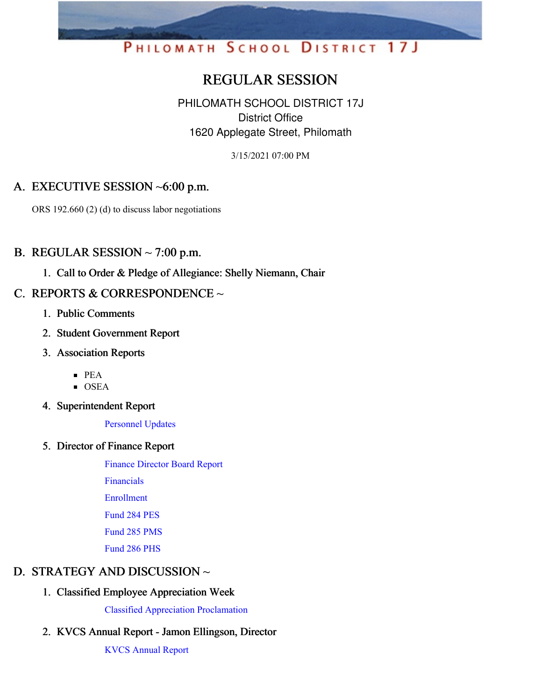# PHILOMATH SCHOOL DISTRICT 17J

## REGULAR SESSION

PHILOMATH SCHOOL DISTRICT 17J District Office 1620 Applegate Street, Philomath

3/15/2021 07:00 PM

## A. EXECUTIVE SESSION ~6:00 p.m.

ORS 192.660 (2) (d) to discuss labor negotiations

#### B. REGULAR SESSION  $\sim$  7:00 p.m.

1. Call to Order & Pledge of Allegiance: Shelly Niemann, Chair

## C. REPORTS & CORRESPONDENCE  $\sim$

- 1. Public Comments
- 2. Student Government Report
- 3. Association Reports
	- PEA
	- $\overline{\text{OSEA}}$
- 4. Superintendent Report

[Personnel](https://app.eduportal.com/documents/view/786943) Updates

5. Director of Finance Report

Finance [Director](https://app.eduportal.com/documents/view/786937) Board Report [Financials](https://app.eduportal.com/documents/view/786939) [Enrollment](https://app.eduportal.com/documents/view/786952) [Fund](https://app.eduportal.com/documents/view/786935) 284 PES [Fund](https://app.eduportal.com/documents/view/786933) 285 PMS [Fund](https://app.eduportal.com/documents/view/786934) 286 PHS

### D. STRATEGY AND DISCUSSION ~

1. Classified Employee Appreciation Week

Classified Appreciation [Proclamation](https://app.eduportal.com/documents/view/787253)

## 2. KVCS Annual Report - Jamon Ellingson, Director

KVCS [Annual](https://app.eduportal.com/documents/view/786709) Report